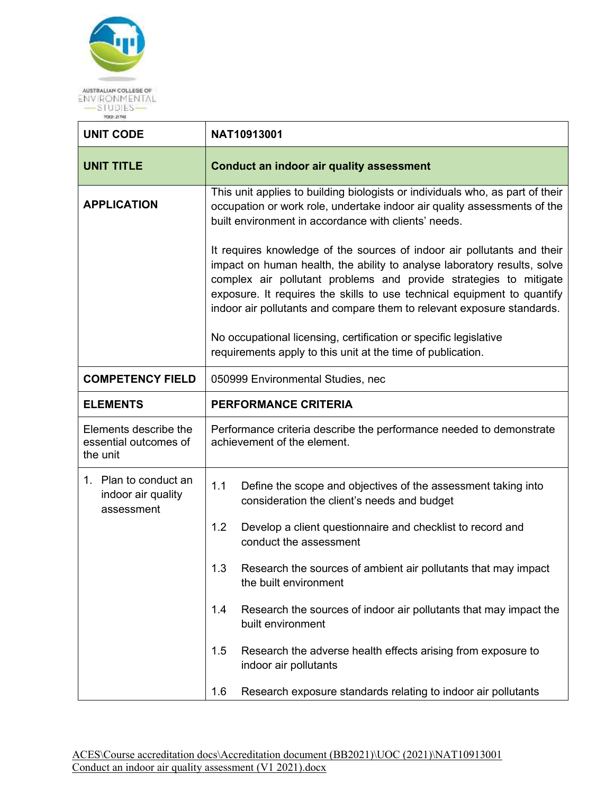

| <b>UNIT CODE</b>                                           | NAT10913001                                                                                                                                                                                                                                                                                                                                                                   |                                                                                                              |  |
|------------------------------------------------------------|-------------------------------------------------------------------------------------------------------------------------------------------------------------------------------------------------------------------------------------------------------------------------------------------------------------------------------------------------------------------------------|--------------------------------------------------------------------------------------------------------------|--|
| <b>UNIT TITLE</b>                                          | <b>Conduct an indoor air quality assessment</b>                                                                                                                                                                                                                                                                                                                               |                                                                                                              |  |
| <b>APPLICATION</b>                                         | This unit applies to building biologists or individuals who, as part of their<br>occupation or work role, undertake indoor air quality assessments of the<br>built environment in accordance with clients' needs.                                                                                                                                                             |                                                                                                              |  |
|                                                            | It requires knowledge of the sources of indoor air pollutants and their<br>impact on human health, the ability to analyse laboratory results, solve<br>complex air pollutant problems and provide strategies to mitigate<br>exposure. It requires the skills to use technical equipment to quantify<br>indoor air pollutants and compare them to relevant exposure standards. |                                                                                                              |  |
|                                                            | No occupational licensing, certification or specific legislative<br>requirements apply to this unit at the time of publication.                                                                                                                                                                                                                                               |                                                                                                              |  |
| <b>COMPETENCY FIELD</b>                                    | 050999 Environmental Studies, nec                                                                                                                                                                                                                                                                                                                                             |                                                                                                              |  |
| <b>ELEMENTS</b>                                            | <b>PERFORMANCE CRITERIA</b>                                                                                                                                                                                                                                                                                                                                                   |                                                                                                              |  |
| Elements describe the<br>essential outcomes of<br>the unit | Performance criteria describe the performance needed to demonstrate<br>achievement of the element.                                                                                                                                                                                                                                                                            |                                                                                                              |  |
| 1. Plan to conduct an<br>indoor air quality<br>assessment  | 1.1                                                                                                                                                                                                                                                                                                                                                                           | Define the scope and objectives of the assessment taking into<br>consideration the client's needs and budget |  |
|                                                            | 1.2                                                                                                                                                                                                                                                                                                                                                                           | Develop a client questionnaire and checklist to record and<br>conduct the assessment                         |  |
|                                                            | 1.3                                                                                                                                                                                                                                                                                                                                                                           | Research the sources of ambient air pollutants that may impact<br>the built environment                      |  |
|                                                            | 1.4                                                                                                                                                                                                                                                                                                                                                                           | Research the sources of indoor air pollutants that may impact the<br>built environment                       |  |
|                                                            | 1.5                                                                                                                                                                                                                                                                                                                                                                           | Research the adverse health effects arising from exposure to<br>indoor air pollutants                        |  |
|                                                            | 1.6                                                                                                                                                                                                                                                                                                                                                                           | Research exposure standards relating to indoor air pollutants                                                |  |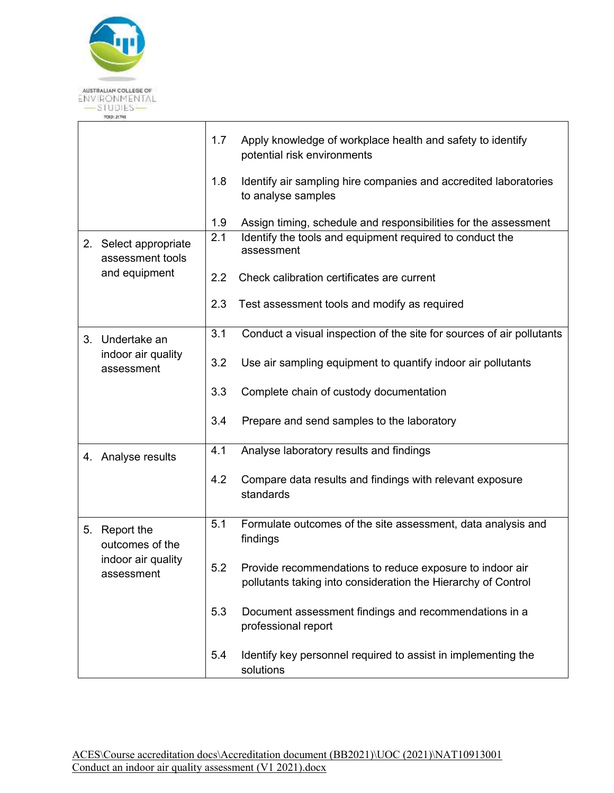

|    |                                           | 1.7 | Apply knowledge of workplace health and safety to identify<br>potential risk environments                                 |
|----|-------------------------------------------|-----|---------------------------------------------------------------------------------------------------------------------------|
|    |                                           | 1.8 | Identify air sampling hire companies and accredited laboratories<br>to analyse samples                                    |
|    |                                           | 1.9 | Assign timing, schedule and responsibilities for the assessment                                                           |
|    | 2. Select appropriate<br>assessment tools |     | Identify the tools and equipment required to conduct the<br>assessment                                                    |
|    | and equipment                             | 2.2 | Check calibration certificates are current                                                                                |
|    |                                           | 2.3 | Test assessment tools and modify as required                                                                              |
|    | 3. Undertake an                           | 3.1 | Conduct a visual inspection of the site for sources of air pollutants                                                     |
|    | indoor air quality<br>assessment          | 3.2 | Use air sampling equipment to quantify indoor air pollutants                                                              |
|    |                                           | 3.3 | Complete chain of custody documentation                                                                                   |
|    |                                           | 3.4 | Prepare and send samples to the laboratory                                                                                |
|    | 4. Analyse results                        | 4.1 | Analyse laboratory results and findings                                                                                   |
|    |                                           | 4.2 | Compare data results and findings with relevant exposure<br>standards                                                     |
| 5. | Report the<br>outcomes of the             | 5.1 | Formulate outcomes of the site assessment, data analysis and<br>findings                                                  |
|    | indoor air quality<br>assessment          | 5.2 | Provide recommendations to reduce exposure to indoor air<br>pollutants taking into consideration the Hierarchy of Control |
|    |                                           | 5.3 | Document assessment findings and recommendations in a<br>professional report                                              |
|    |                                           | 5.4 | Identify key personnel required to assist in implementing the<br>solutions                                                |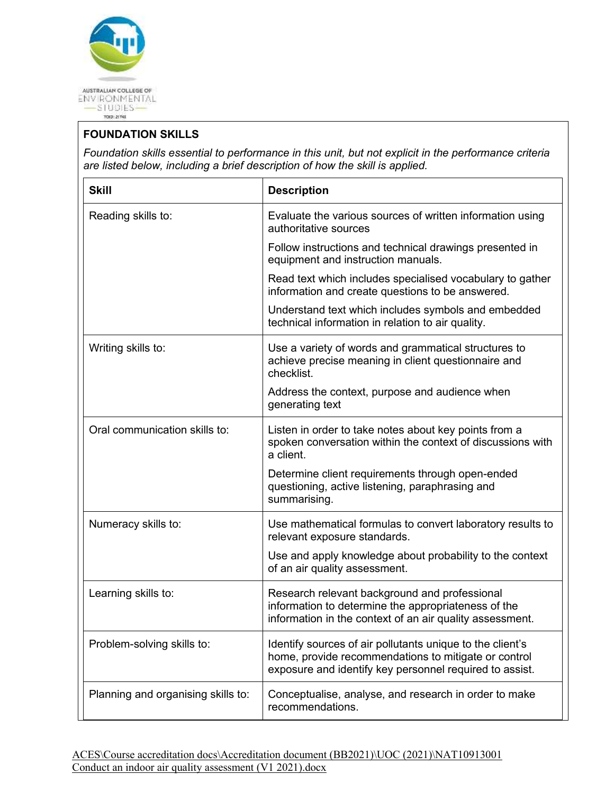

## **FOUNDATION SKILLS**

*Foundation skills essential to performance in this unit, but not explicit in the performance criteria are listed below, including a brief description of how the skill is applied.* 

| <b>Skill</b>                       | <b>Description</b>                                                                                                                                                           |
|------------------------------------|------------------------------------------------------------------------------------------------------------------------------------------------------------------------------|
| Reading skills to:                 | Evaluate the various sources of written information using<br>authoritative sources                                                                                           |
|                                    | Follow instructions and technical drawings presented in<br>equipment and instruction manuals.                                                                                |
|                                    | Read text which includes specialised vocabulary to gather<br>information and create questions to be answered.                                                                |
|                                    | Understand text which includes symbols and embedded<br>technical information in relation to air quality.                                                                     |
| Writing skills to:                 | Use a variety of words and grammatical structures to<br>achieve precise meaning in client questionnaire and<br>checklist.                                                    |
|                                    | Address the context, purpose and audience when<br>generating text                                                                                                            |
| Oral communication skills to:      | Listen in order to take notes about key points from a<br>spoken conversation within the context of discussions with<br>a client.                                             |
|                                    | Determine client requirements through open-ended<br>questioning, active listening, paraphrasing and<br>summarising.                                                          |
| Numeracy skills to:                | Use mathematical formulas to convert laboratory results to<br>relevant exposure standards.                                                                                   |
|                                    | Use and apply knowledge about probability to the context<br>of an air quality assessment.                                                                                    |
| Learning skills to:                | Research relevant background and professional<br>information to determine the appropriateness of the<br>information in the context of an air quality assessment.             |
| Problem-solving skills to:         | Identify sources of air pollutants unique to the client's<br>home, provide recommendations to mitigate or control<br>exposure and identify key personnel required to assist. |
| Planning and organising skills to: | Conceptualise, analyse, and research in order to make<br>recommendations.                                                                                                    |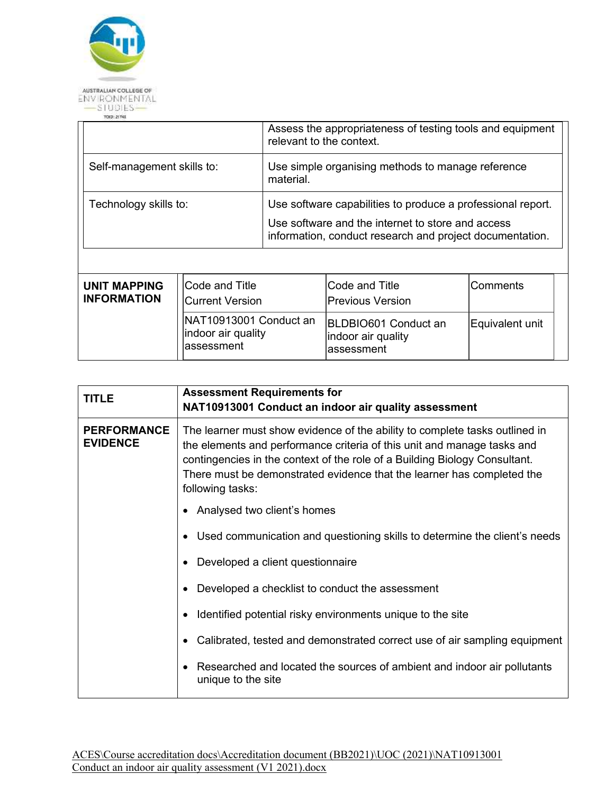

|                            |                | Assess the appropriateness of testing tools and equipment<br>relevant to the context.                                                                                        |                |          |  |
|----------------------------|----------------|------------------------------------------------------------------------------------------------------------------------------------------------------------------------------|----------------|----------|--|
| Self-management skills to: |                | Use simple organising methods to manage reference<br>material.                                                                                                               |                |          |  |
| Technology skills to:      |                | Use software capabilities to produce a professional report.<br>Use software and the internet to store and access<br>information, conduct research and project documentation. |                |          |  |
|                            |                |                                                                                                                                                                              |                |          |  |
| <b>UNIT MAPPING</b>        | Code and Title |                                                                                                                                                                              | Code and Title | Comments |  |

| UNIT MAPPING       | <b>ICode and Title</b>                                     | <b>ICode and Title</b>                                   | Comments        |
|--------------------|------------------------------------------------------------|----------------------------------------------------------|-----------------|
| <b>INFORMATION</b> | <b>Current Version</b>                                     | <b>Previous Version</b>                                  |                 |
|                    | NAT10913001 Conduct an<br>indoor air quality<br>assessment | BLDBIO601 Conduct an<br>indoor air quality<br>assessment | Equivalent unit |

| <b>TITLE</b>                          | <b>Assessment Requirements for</b><br>NAT10913001 Conduct an indoor air quality assessment                                                                                                                                                                                                                                         |
|---------------------------------------|------------------------------------------------------------------------------------------------------------------------------------------------------------------------------------------------------------------------------------------------------------------------------------------------------------------------------------|
| <b>PERFORMANCE</b><br><b>EVIDENCE</b> | The learner must show evidence of the ability to complete tasks outlined in<br>the elements and performance criteria of this unit and manage tasks and<br>contingencies in the context of the role of a Building Biology Consultant.<br>There must be demonstrated evidence that the learner has completed the<br>following tasks: |
|                                       | Analysed two client's homes<br>٠                                                                                                                                                                                                                                                                                                   |
|                                       | Used communication and questioning skills to determine the client's needs<br>$\bullet$                                                                                                                                                                                                                                             |
|                                       | Developed a client questionnaire<br>$\bullet$                                                                                                                                                                                                                                                                                      |
|                                       | Developed a checklist to conduct the assessment                                                                                                                                                                                                                                                                                    |
|                                       | Identified potential risky environments unique to the site<br>$\bullet$                                                                                                                                                                                                                                                            |
|                                       | Calibrated, tested and demonstrated correct use of air sampling equipment                                                                                                                                                                                                                                                          |
|                                       | Researched and located the sources of ambient and indoor air pollutants<br>٠<br>unique to the site                                                                                                                                                                                                                                 |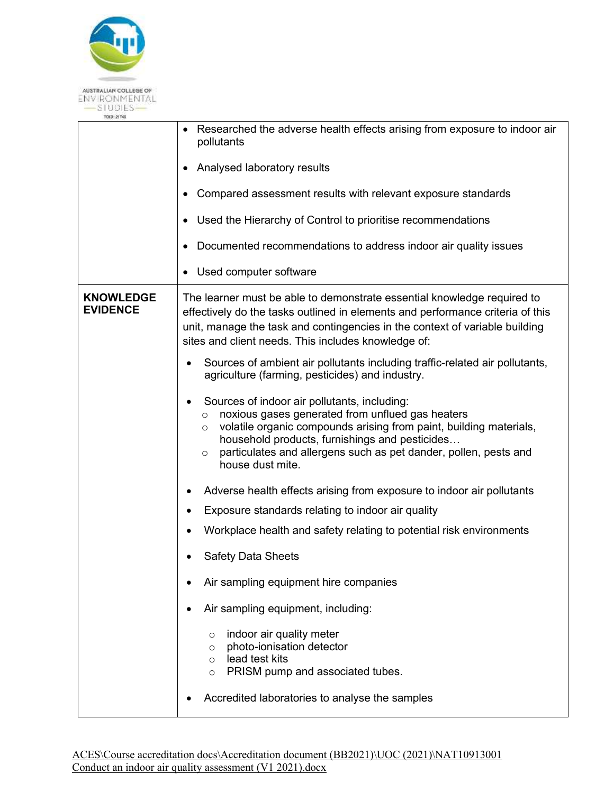

| 1080121194                          |                                                                                                                                                                                                                                                                                                                                                   |
|-------------------------------------|---------------------------------------------------------------------------------------------------------------------------------------------------------------------------------------------------------------------------------------------------------------------------------------------------------------------------------------------------|
|                                     | Researched the adverse health effects arising from exposure to indoor air<br>pollutants                                                                                                                                                                                                                                                           |
|                                     | Analysed laboratory results                                                                                                                                                                                                                                                                                                                       |
|                                     | Compared assessment results with relevant exposure standards                                                                                                                                                                                                                                                                                      |
|                                     | Used the Hierarchy of Control to prioritise recommendations<br>٠                                                                                                                                                                                                                                                                                  |
|                                     | Documented recommendations to address indoor air quality issues                                                                                                                                                                                                                                                                                   |
|                                     | Used computer software                                                                                                                                                                                                                                                                                                                            |
| <b>KNOWLEDGE</b><br><b>EVIDENCE</b> | The learner must be able to demonstrate essential knowledge required to<br>effectively do the tasks outlined in elements and performance criteria of this<br>unit, manage the task and contingencies in the context of variable building<br>sites and client needs. This includes knowledge of:                                                   |
|                                     | Sources of ambient air pollutants including traffic-related air pollutants,<br>agriculture (farming, pesticides) and industry.                                                                                                                                                                                                                    |
|                                     | Sources of indoor air pollutants, including:<br>noxious gases generated from unflued gas heaters<br>$\circ$<br>volatile organic compounds arising from paint, building materials,<br>$\circ$<br>household products, furnishings and pesticides<br>particulates and allergens such as pet dander, pollen, pests and<br>$\circ$<br>house dust mite. |
|                                     | Adverse health effects arising from exposure to indoor air pollutants                                                                                                                                                                                                                                                                             |
|                                     | Exposure standards relating to indoor air quality                                                                                                                                                                                                                                                                                                 |
|                                     | Workplace health and safety relating to potential risk environments                                                                                                                                                                                                                                                                               |
|                                     | <b>Safety Data Sheets</b>                                                                                                                                                                                                                                                                                                                         |
|                                     | Air sampling equipment hire companies                                                                                                                                                                                                                                                                                                             |
|                                     | Air sampling equipment, including:                                                                                                                                                                                                                                                                                                                |
|                                     | indoor air quality meter<br>$\circ$<br>photo-ionisation detector<br>$\circ$<br>lead test kits<br>$\circ$<br>PRISM pump and associated tubes.<br>$\circ$                                                                                                                                                                                           |
|                                     | Accredited laboratories to analyse the samples                                                                                                                                                                                                                                                                                                    |